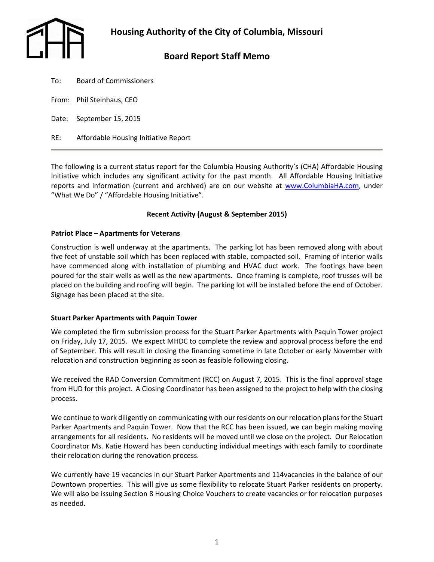

# **Board Report Staff Memo**

- To: Board of Commissioners
- From: Phil Steinhaus, CEO
- Date: September 15, 2015
- RE: Affordable Housing Initiative Report

The following is a current status report for the Columbia Housing Authority's (CHA) Affordable Housing Initiative which includes any significant activity for the past month. All Affordable Housing Initiative reports and information (current and archived) are on our website at [www.ColumbiaHA.com,](http://www.columbiaha.com/) under "What We Do" / "Affordable Housing Initiative".

## **Recent Activity (August & September 2015)**

## **Patriot Place – Apartments for Veterans**

Construction is well underway at the apartments. The parking lot has been removed along with about five feet of unstable soil which has been replaced with stable, compacted soil. Framing of interior walls have commenced along with installation of plumbing and HVAC duct work. The footings have been poured for the stair wells as well as the new apartments. Once framing is complete, roof trusses will be placed on the building and roofing will begin. The parking lot will be installed before the end of October. Signage has been placed at the site.

## **Stuart Parker Apartments with Paquin Tower**

We completed the firm submission process for the Stuart Parker Apartments with Paquin Tower project on Friday, July 17, 2015. We expect MHDC to complete the review and approval process before the end of September. This will result in closing the financing sometime in late October or early November with relocation and construction beginning as soon as feasible following closing.

We received the RAD Conversion Commitment (RCC) on August 7, 2015. This is the final approval stage from HUD for this project. A Closing Coordinator has been assigned to the project to help with the closing process.

We continue to work diligently on communicating with our residents on our relocation plans for the Stuart Parker Apartments and Paquin Tower. Now that the RCC has been issued, we can begin making moving arrangements for all residents. No residents will be moved until we close on the project. Our Relocation Coordinator Ms. Katie Howard has been conducting individual meetings with each family to coordinate their relocation during the renovation process.

We currently have 19 vacancies in our Stuart Parker Apartments and 114vacancies in the balance of our Downtown properties. This will give us some flexibility to relocate Stuart Parker residents on property. We will also be issuing Section 8 Housing Choice Vouchers to create vacancies or for relocation purposes as needed.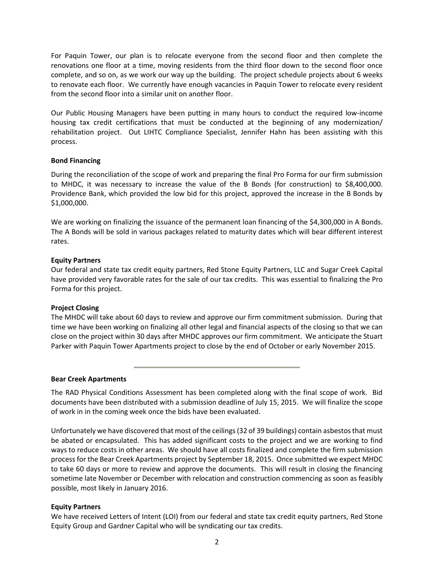For Paquin Tower, our plan is to relocate everyone from the second floor and then complete the renovations one floor at a time, moving residents from the third floor down to the second floor once complete, and so on, as we work our way up the building. The project schedule projects about 6 weeks to renovate each floor. We currently have enough vacancies in Paquin Tower to relocate every resident from the second floor into a similar unit on another floor.

Our Public Housing Managers have been putting in many hours to conduct the required low-income housing tax credit certifications that must be conducted at the beginning of any modernization/ rehabilitation project. Out LIHTC Compliance Specialist, Jennifer Hahn has been assisting with this process.

## **Bond Financing**

During the reconciliation of the scope of work and preparing the final Pro Forma for our firm submission to MHDC, it was necessary to increase the value of the B Bonds (for construction) to \$8,400,000. Providence Bank, which provided the low bid for this project, approved the increase in the B Bonds by \$1,000,000.

We are working on finalizing the issuance of the permanent loan financing of the \$4,300,000 in A Bonds. The A Bonds will be sold in various packages related to maturity dates which will bear different interest rates.

#### **Equity Partners**

Our federal and state tax credit equity partners, Red Stone Equity Partners, LLC and Sugar Creek Capital have provided very favorable rates for the sale of our tax credits. This was essential to finalizing the Pro Forma for this project.

## **Project Closing**

The MHDC will take about 60 days to review and approve our firm commitment submission. During that time we have been working on finalizing all other legal and financial aspects of the closing so that we can close on the project within 30 days after MHDC approves our firm commitment. We anticipate the Stuart Parker with Paquin Tower Apartments project to close by the end of October or early November 2015.

#### **Bear Creek Apartments**

The RAD Physical Conditions Assessment has been completed along with the final scope of work. Bid documents have been distributed with a submission deadline of July 15, 2015. We will finalize the scope of work in in the coming week once the bids have been evaluated.

Unfortunately we have discovered that most of the ceilings (32 of 39 buildings) contain asbestos that must be abated or encapsulated. This has added significant costs to the project and we are working to find ways to reduce costs in other areas. We should have all costs finalized and complete the firm submission process for the Bear Creek Apartments project by September 18, 2015. Once submitted we expect MHDC to take 60 days or more to review and approve the documents. This will result in closing the financing sometime late November or December with relocation and construction commencing as soon as feasibly possible, most likely in January 2016.

## **Equity Partners**

We have received Letters of Intent (LOI) from our federal and state tax credit equity partners, Red Stone Equity Group and Gardner Capital who will be syndicating our tax credits.